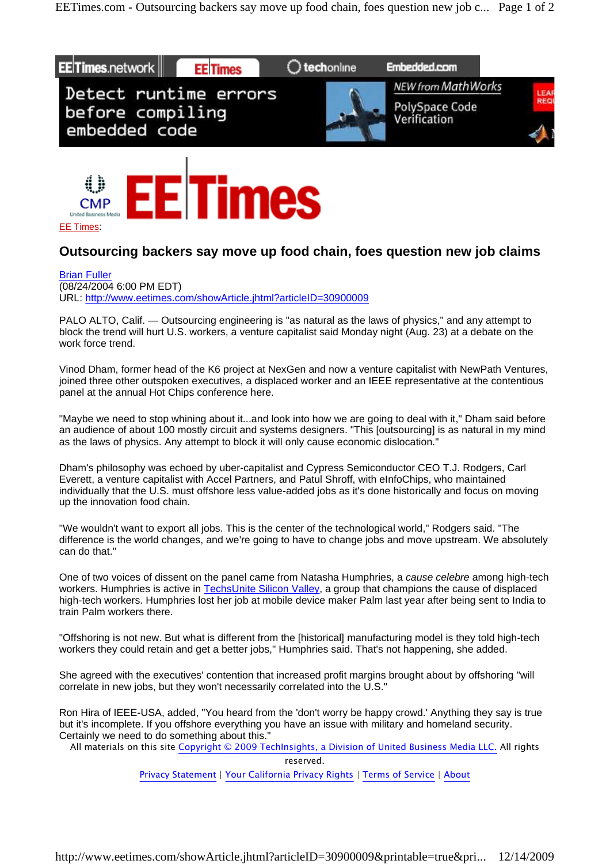



## **Outsourcing backers say move up food chain, foes question new job claims**

Brian Fuller

(08/24/2004 6:00 PM EDT) URL: http://www.eetimes.com/showArticle.jhtml?articleID=30900009

PALO ALTO, Calif. — Outsourcing engineering is "as natural as the laws of physics," and any attempt to block the trend will hurt U.S. workers, a venture capitalist said Monday night (Aug. 23) at a debate on the work force trend.

Vinod Dham, former head of the K6 project at NexGen and now a venture capitalist with NewPath Ventures, joined three other outspoken executives, a displaced worker and an IEEE representative at the contentious panel at the annual Hot Chips conference here.

"Maybe we need to stop whining about it...and look into how we are going to deal with it," Dham said before an audience of about 100 mostly circuit and systems designers. "This [outsourcing] is as natural in my mind as the laws of physics. Any attempt to block it will only cause economic dislocation."

Dham's philosophy was echoed by uber-capitalist and Cypress Semiconductor CEO T.J. Rodgers, Carl Everett, a venture capitalist with Accel Partners, and Patul Shroff, with eInfoChips, who maintained individually that the U.S. must offshore less value-added jobs as it's done historically and focus on moving up the innovation food chain.

"We wouldn't want to export all jobs. This is the center of the technological world," Rodgers said. "The difference is the world changes, and we're going to have to change jobs and move upstream. We absolutely can do that."

One of two voices of dissent on the panel came from Natasha Humphries, a cause celebre among high-tech workers. Humphries is active in TechsUnite Silicon Valley, a group that champions the cause of displaced high-tech workers. Humphries lost her job at mobile device maker Palm last year after being sent to India to train Palm workers there.

"Offshoring is not new. But what is different from the [historical] manufacturing model is they told high-tech workers they could retain and get a better jobs," Humphries said. That's not happening, she added.

She agreed with the executives' contention that increased profit margins brought about by offshoring "will correlate in new jobs, but they won't necessarily correlated into the U.S."

Ron Hira of IEEE-USA, added, "You heard from the 'don't worry be happy crowd.' Anything they say is true but it's incomplete. If you offshore everything you have an issue with military and homeland security. Certainly we need to do something about this."

All materials on this site Copyright © 2009 TechInsights, a Division of United Business Media LLC. All rights reserved.

Privacy Statement | Your California Privacy Rights | Terms of Service | About